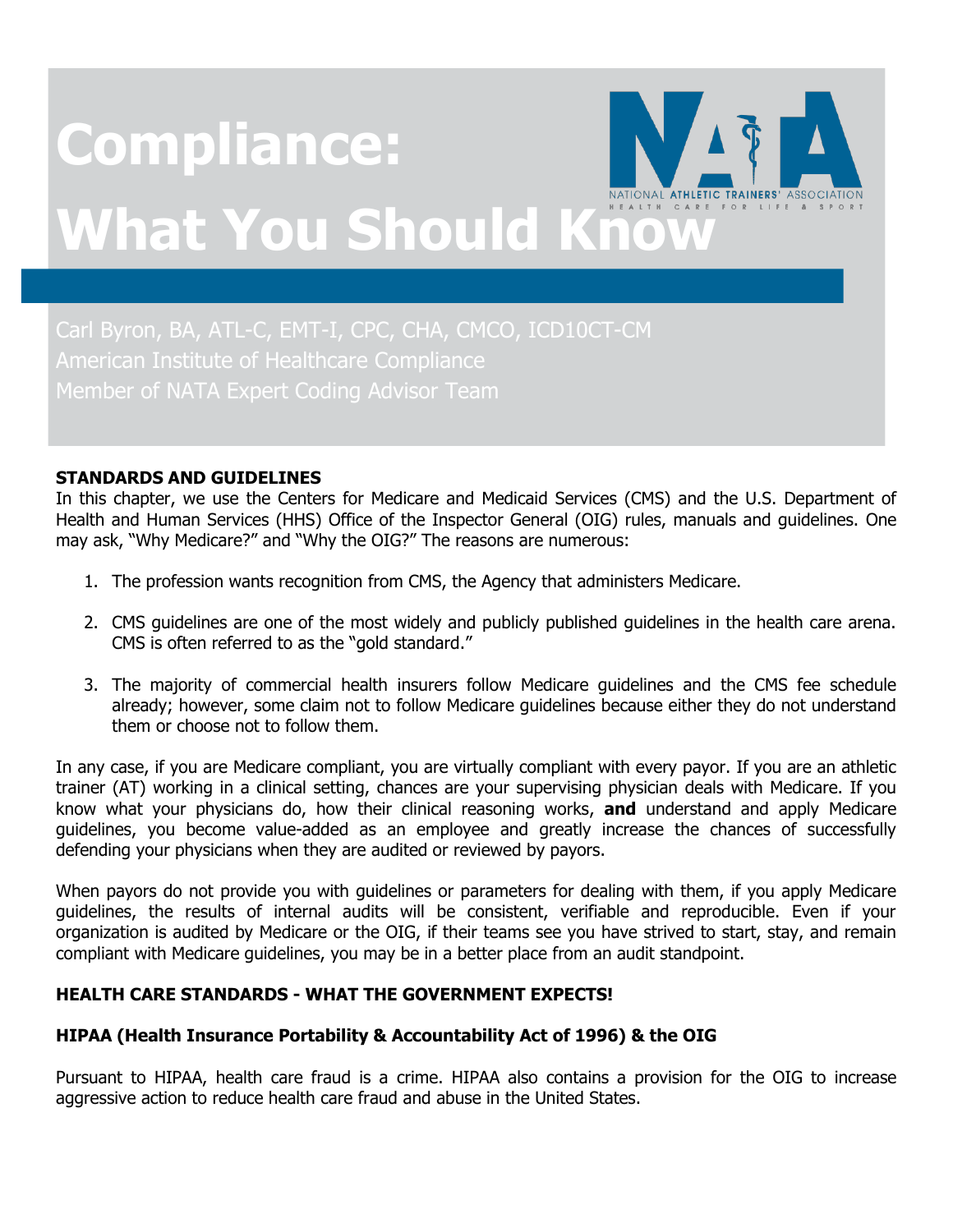# **Compliance: What You Should Know**

American Institute of Healthcare Compliance

#### **STANDARDS AND GUIDELINES**

In this chapter, we use the Centers for Medicare and Medicaid Services (CMS) and the U.S. Department of Health and Human Services (HHS) Office of the Inspector General (OIG) rules, manuals and guidelines. One may ask, "Why Medicare?" and "Why the OIG?" The reasons are numerous:

- 1. The profession wants recognition from CMS, the Agency that administers Medicare.
- 2. CMS guidelines are one of the most widely and publicly published guidelines in the health care arena. CMS is often referred to as the "gold standard."
- 3. The majority of commercial health insurers follow Medicare guidelines and the CMS fee schedule already; however, some claim not to follow Medicare guidelines because either they do not understand them or choose not to follow them.

In any case, if you are Medicare compliant, you are virtually compliant with every payor. If you are an athletic trainer (AT) working in a clinical setting, chances are your supervising physician deals with Medicare. If you know what your physicians do, how their clinical reasoning works, **and** understand and apply Medicare guidelines, you become value-added as an employee and greatly increase the chances of successfully defending your physicians when they are audited or reviewed by payors.

When payors do not provide you with guidelines or parameters for dealing with them, if you apply Medicare guidelines, the results of internal audits will be consistent, verifiable and reproducible. Even if your organization is audited by Medicare or the OIG, if their teams see you have strived to start, stay, and remain compliant with Medicare guidelines, you may be in a better place from an audit standpoint.

## **HEALTH CARE STANDARDS - WHAT THE GOVERNMENT EXPECTS!**

## **HIPAA (Health Insurance Portability & Accountability Act of 1996) & the OIG**

Pursuant to HIPAA, health care fraud is a crime. HIPAA also contains a provision for the OIG to increase aggressive action to reduce health care fraud and abuse in the United States.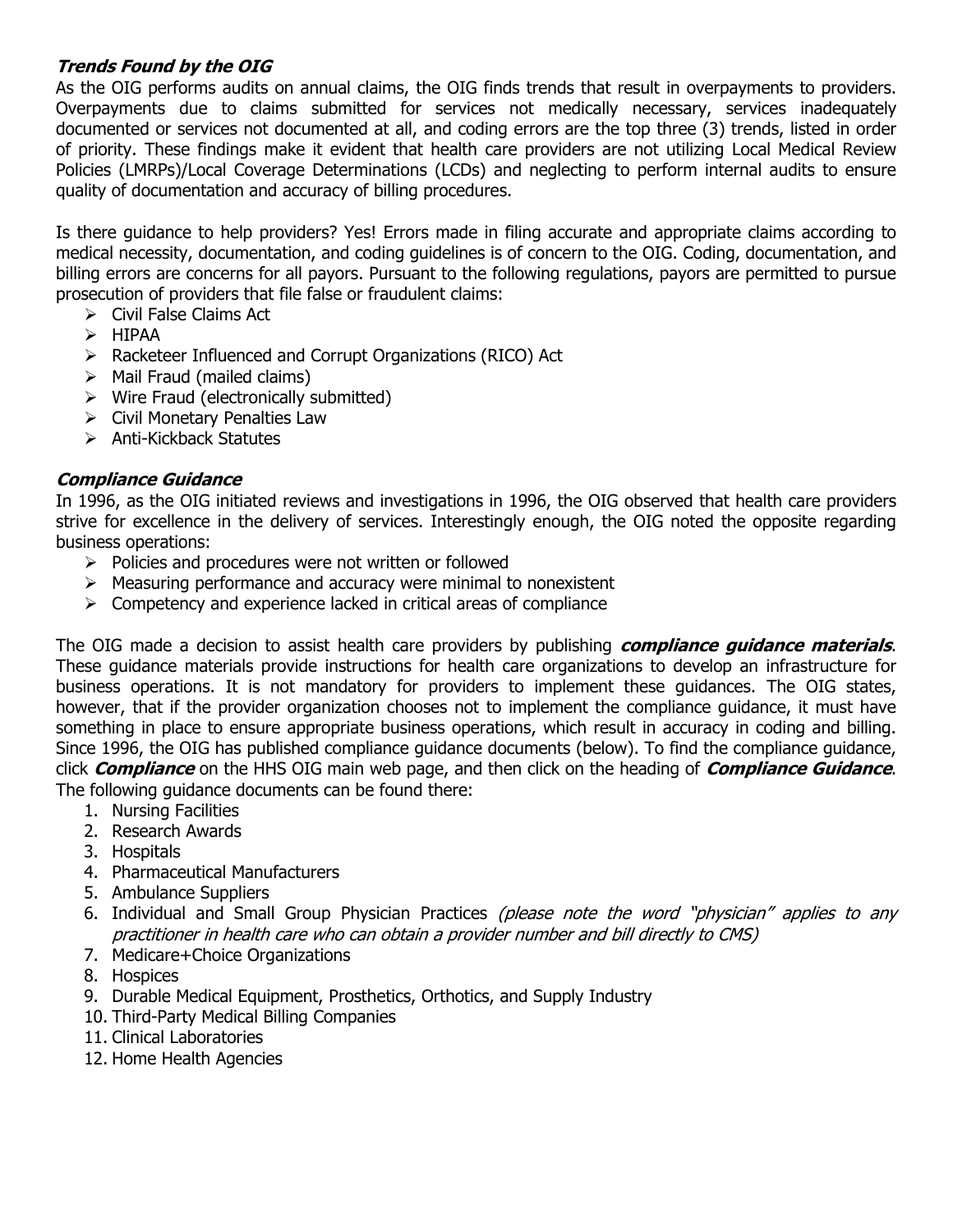# **Trends Found by the OIG**

As the OIG performs audits on annual claims, the OIG finds trends that result in overpayments to providers. Overpayments due to claims submitted for services not medically necessary, services inadequately documented or services not documented at all, and coding errors are the top three (3) trends, listed in order of priority. These findings make it evident that health care providers are not utilizing Local Medical Review Policies (LMRPs)/Local Coverage Determinations (LCDs) and neglecting to perform internal audits to ensure quality of documentation and accuracy of billing procedures.

Is there guidance to help providers? Yes! Errors made in filing accurate and appropriate claims according to medical necessity, documentation, and coding guidelines is of concern to the OIG. Coding, documentation, and billing errors are concerns for all payors. Pursuant to the following regulations, payors are permitted to pursue prosecution of providers that file false or fraudulent claims:

- $\triangleright$  Civil False Claims Act
- $\triangleright$  HIPAA
- Racketeer Influenced and Corrupt Organizations (RICO) Act
- $\triangleright$  Mail Fraud (mailed claims)
- Wire Fraud (electronically submitted)
- $\triangleright$  Civil Monetary Penalties Law
- $\triangleright$  Anti-Kickback Statutes

# **Compliance Guidance**

In 1996, as the OIG initiated reviews and investigations in 1996, the OIG observed that health care providers strive for excellence in the delivery of services. Interestingly enough, the OIG noted the opposite regarding business operations:

- $\triangleright$  Policies and procedures were not written or followed
- $\triangleright$  Measuring performance and accuracy were minimal to nonexistent
- $\triangleright$  Competency and experience lacked in critical areas of compliance

The OIG made a decision to assist health care providers by publishing **compliance guidance materials**. These guidance materials provide instructions for health care organizations to develop an infrastructure for business operations. It is not mandatory for providers to implement these guidances. The OIG states, however, that if the provider organization chooses not to implement the compliance guidance, it must have something in place to ensure appropriate business operations, which result in accuracy in coding and billing. Since 1996, the OIG has published compliance guidance documents (below). To find the compliance guidance, click **Compliance** on the HHS OIG main web page, and then click on the heading of **Compliance Guidance**. The following guidance documents can be found there:

- 1. Nursing Facilities
- 2. Research Awards
- 3. Hospitals
- 4. Pharmaceutical Manufacturers
- 5. Ambulance Suppliers
- 6. Individual and Small Group Physician Practices (please note the word "physician" applies to any practitioner in health care who can obtain a provider number and bill directly to CMS)
- 7. Medicare+Choice Organizations
- 8. Hospices
- 9. Durable Medical Equipment, Prosthetics, Orthotics, and Supply Industry
- 10. Third-Party Medical Billing Companies
- 11. Clinical Laboratories
- 12. Home Health Agencies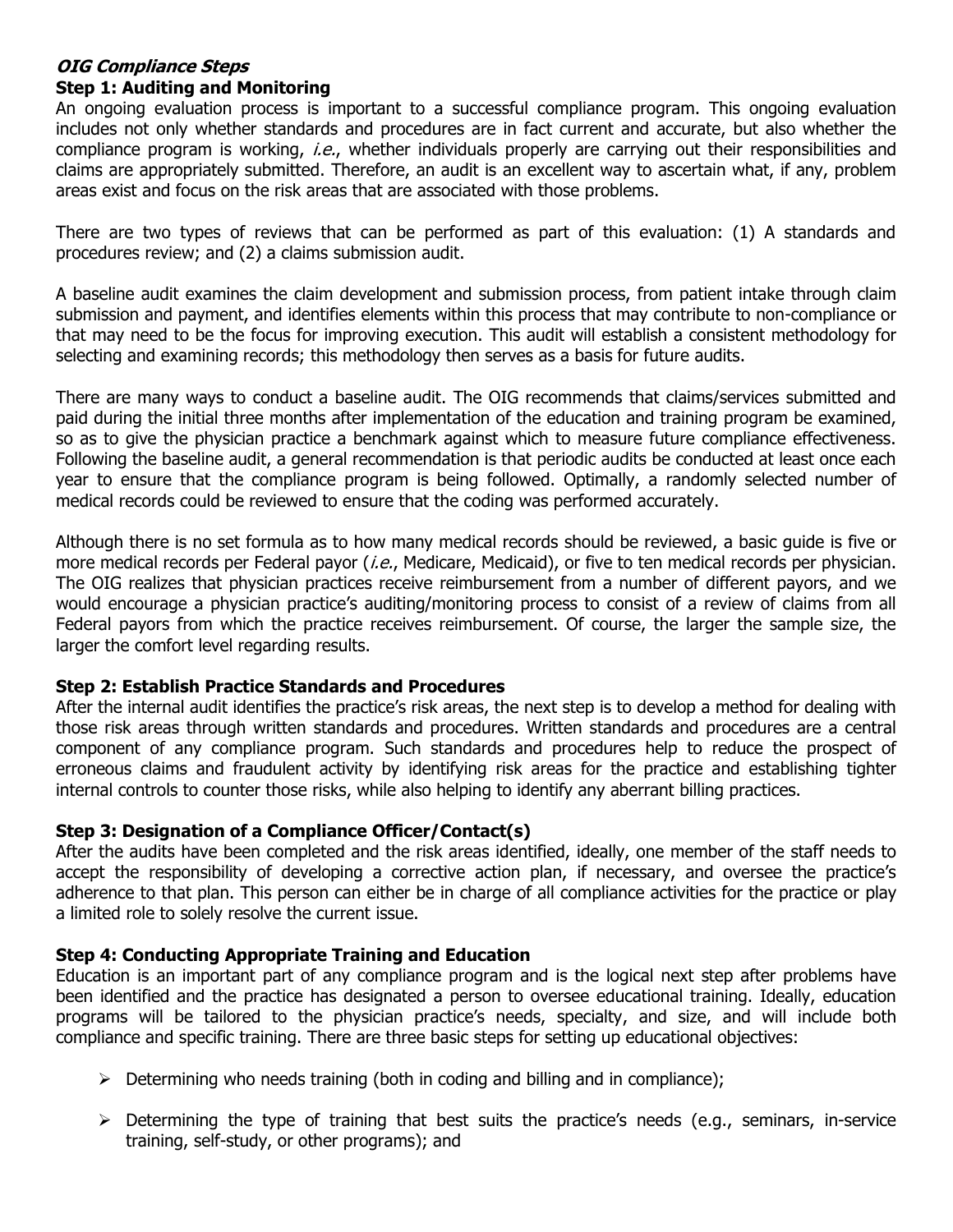#### **OIG Compliance Steps Step 1: Auditing and Monitoring**

An ongoing evaluation process is important to a successful compliance program. This ongoing evaluation includes not only whether standards and procedures are in fact current and accurate, but also whether the compliance program is working, *i.e.*, whether individuals properly are carrying out their responsibilities and claims are appropriately submitted. Therefore, an audit is an excellent way to ascertain what, if any, problem areas exist and focus on the risk areas that are associated with those problems.

There are two types of reviews that can be performed as part of this evaluation: (1) A standards and procedures review; and (2) a claims submission audit.

A baseline audit examines the claim development and submission process, from patient intake through claim submission and payment, and identifies elements within this process that may contribute to non-compliance or that may need to be the focus for improving execution. This audit will establish a consistent methodology for selecting and examining records; this methodology then serves as a basis for future audits.

There are many ways to conduct a baseline audit. The OIG recommends that claims/services submitted and paid during the initial three months after implementation of the education and training program be examined, so as to give the physician practice a benchmark against which to measure future compliance effectiveness. Following the baseline audit, a general recommendation is that periodic audits be conducted at least once each year to ensure that the compliance program is being followed. Optimally, a randomly selected number of medical records could be reviewed to ensure that the coding was performed accurately.

Although there is no set formula as to how many medical records should be reviewed, a basic guide is five or more medical records per Federal payor (*i.e.*, Medicare, Medicaid), or five to ten medical records per physician. The OIG realizes that physician practices receive reimbursement from a number of different payors, and we would encourage a physician practice's auditing/monitoring process to consist of a review of claims from all Federal payors from which the practice receives reimbursement. Of course, the larger the sample size, the larger the comfort level regarding results.

## **Step 2: Establish Practice Standards and Procedures**

After the internal audit identifies the practice's risk areas, the next step is to develop a method for dealing with those risk areas through written standards and procedures. Written standards and procedures are a central component of any compliance program. Such standards and procedures help to reduce the prospect of erroneous claims and fraudulent activity by identifying risk areas for the practice and establishing tighter internal controls to counter those risks, while also helping to identify any aberrant billing practices.

## **Step 3: Designation of a Compliance Officer/Contact(s)**

After the audits have been completed and the risk areas identified, ideally, one member of the staff needs to accept the responsibility of developing a corrective action plan, if necessary, and oversee the practice's adherence to that plan. This person can either be in charge of all compliance activities for the practice or play a limited role to solely resolve the current issue.

## **Step 4: Conducting Appropriate Training and Education**

Education is an important part of any compliance program and is the logical next step after problems have been identified and the practice has designated a person to oversee educational training. Ideally, education programs will be tailored to the physician practice's needs, specialty, and size, and will include both compliance and specific training. There are three basic steps for setting up educational objectives:

- $\triangleright$  Determining who needs training (both in coding and billing and in compliance);
- $\triangleright$  Determining the type of training that best suits the practice's needs (e.g., seminars, in-service training, self-study, or other programs); and